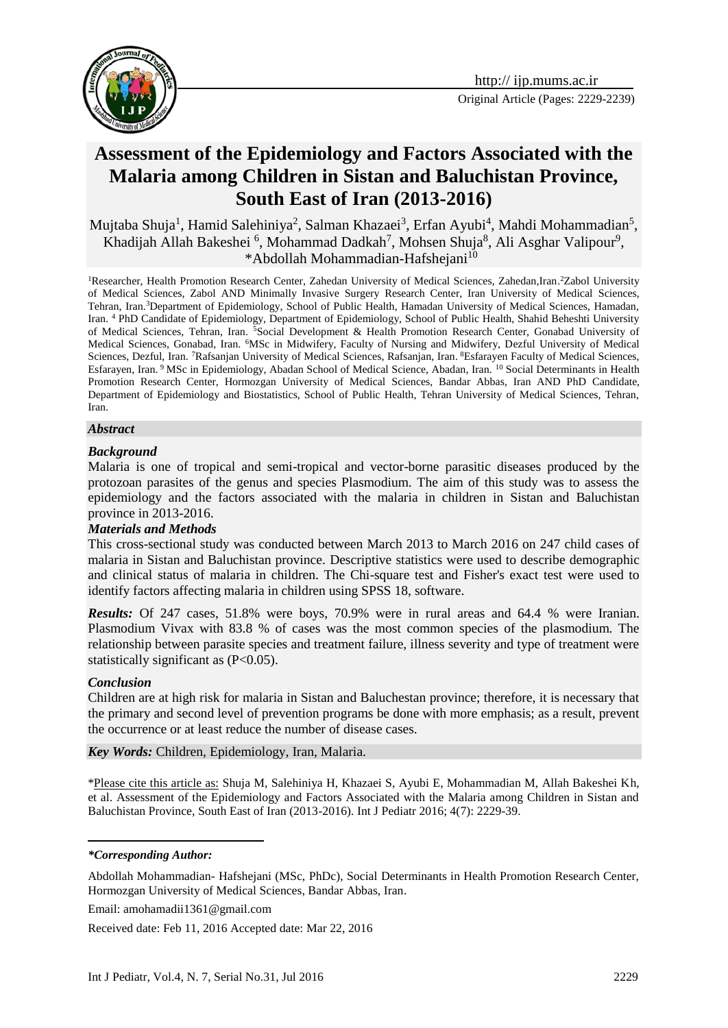

# **Assessment of the Epidemiology and Factors Associated with the Malaria among Children in Sistan and Baluchistan Province, South East of Iran (2013-2016)**

Mujtaba Shuja<sup>1</sup>, Hamid Salehiniya<sup>2</sup>, Salman Khazaei<sup>3</sup>, Erfan Ayubi<sup>4</sup>, Mahdi Mohammadian<sup>5</sup>, Khadijah Allah Bakeshei <sup>6</sup>, Mohammad Dadkah<sup>7</sup>, Mohsen Shuja<sup>8</sup>, Ali Asghar Valipour<sup>9</sup>, \*Abdollah Mohammadian-Hafshejani<sup>10</sup>

<sup>1</sup>Researcher, Health Promotion Research Center, Zahedan University of Medical Sciences, Zahedan,Iran.<sup>2</sup>Zabol University of Medical Sciences, Zabol AND Minimally Invasive Surgery Research Center, Iran University of Medical Sciences, Tehran, Iran.<sup>3</sup>Department of Epidemiology, School of Public Health, Hamadan University of Medical Sciences, Hamadan, Iran. <sup>4</sup> PhD Candidate of Epidemiology, Department of Epidemiology, School of Public Health, Shahid Beheshti University of Medical Sciences, Tehran, Iran. <sup>5</sup>Social Development & Health Promotion Research Center, Gonabad University of Medical Sciences, Gonabad, Iran. <sup>6</sup>MSc in Midwifery, Faculty of Nursing and Midwifery, Dezful University of Medical Sciences, Dezful, Iran. <sup>7</sup>Rafsanjan University of Medical Sciences, Rafsanjan, Iran. <sup>8</sup>Esfarayen Faculty of Medical Sciences, Esfarayen, Iran. <sup>9</sup> MSc in Epidemiology, Abadan School of Medical Science, Abadan, Iran. <sup>10</sup> Social Determinants in Health Promotion Research Center, Hormozgan University of Medical Sciences, Bandar Abbas, Iran AND PhD Candidate, Department of Epidemiology and Biostatistics, School of Public Health, Tehran University of Medical Sciences, Tehran, Iran.

#### *Abstract*

#### *Background*

Malaria is one of tropical and semi-tropical and vector-borne parasitic diseases produced by the protozoan parasites of the genus and species Plasmodium. The aim of this study was to assess the epidemiology and the factors associated with the malaria in children in Sistan and Baluchistan province in 2013-2016.

#### *Materials and Methods*

This cross-sectional study was conducted between March 2013 to March 2016 on 247 child cases of malaria in Sistan and Baluchistan province. Descriptive statistics were used to describe demographic and clinical status of malaria in children. The Chi-square test and Fisher's exact test were used to identify factors affecting malaria in children using SPSS 18, software.

*Results:* Of 247 cases, 51.8% were boys, 70.9% were in rural areas and 64.4 % were Iranian. Plasmodium Vivax with 83.8 % of cases was the most common species of the plasmodium. The relationship between parasite species and treatment failure, illness severity and type of treatment were statistically significant as (P<0.05).

#### *Conclusion*

<u>.</u>

Children are at high risk for malaria in Sistan and Baluchestan province; therefore, it is necessary that the primary and second level of prevention programs be done with more emphasis; as a result, prevent the occurrence or at least reduce the number of disease cases.

*Key Words:* Children, [Epidemiology,](http://www.ncbi.nlm.nih.gov/mesh/68004813) Iran, Malaria.

\*Please cite this article as: Shuja M, Salehiniya H, Khazaei S, Ayubi E, Mohammadian M, Allah Bakeshei Kh, et al. Assessment of the Epidemiology and Factors Associated with the Malaria among Children in Sistan and Baluchistan Province, South East of Iran (2013-2016). Int J Pediatr 2016; 4(7): 2229-39.

#### *\*Corresponding Author:*

Abdollah Mohammadian- Hafshejani (MSc, PhDc), Social Determinants in Health Promotion Research Center, Hormozgan University of Medical Sciences, Bandar Abbas, Iran.

Email: amohamadii1361@gmail.com

Received date: Feb 11, 2016 Accepted date: Mar 22, 2016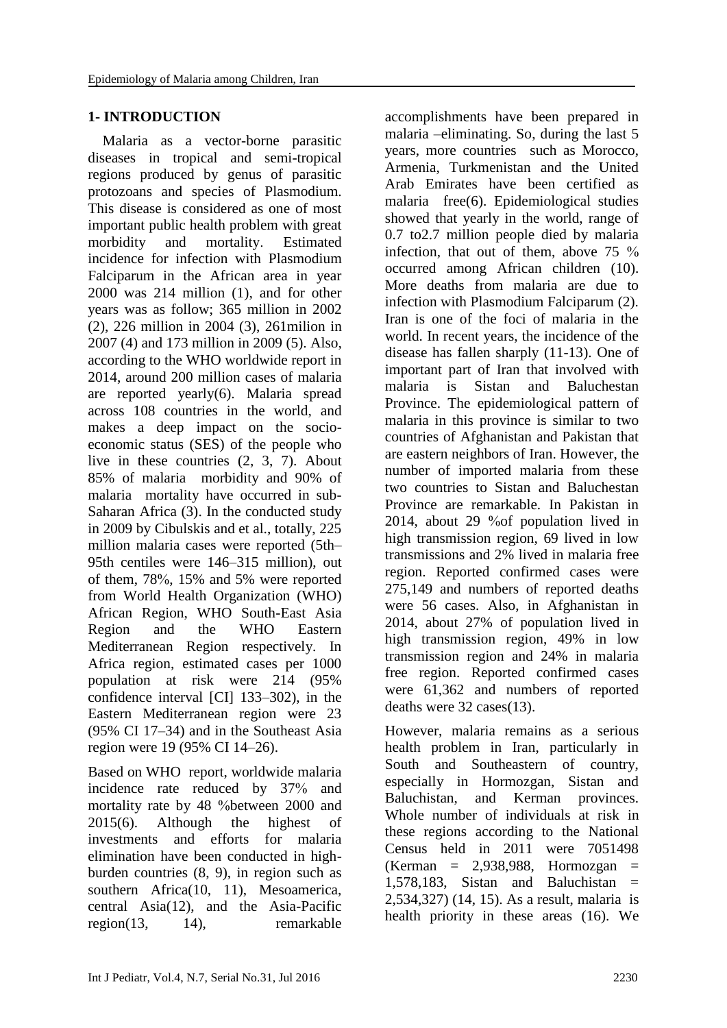### **1- INTRODUCTION**

 Malaria as a vector-borne parasitic diseases in tropical and semi-tropical regions produced by genus of parasitic protozoans and species of Plasmodium. This disease is considered as one of most important public health problem with great morbidity and mortality. Estimated incidence for infection with Plasmodium Falciparum in the African area in year 2000 was 214 million [\(1\)](#page-8-0), and for other years was as follow; 365 million in 2002 [\(2\)](#page-8-1), 226 million in 2004 [\(3\)](#page-8-2), 261milion in 2007 [\(4\)](#page-8-3) and 173 million in 2009 [\(5\)](#page-8-4). Also, according to the WHO worldwide report in 2014, around 200 million cases of malaria are reported yearly[\(6\)](#page-8-5). Malaria spread across 108 countries in the world, and makes a deep impact on the socioeconomic status (SES) of the people who live in these countries [\(2,](#page-8-1) [3,](#page-8-2) [7\)](#page-9-0). About 85% of malaria morbidity and 90% of malaria mortality have occurred in sub-Saharan Africa [\(3\)](#page-8-2). In the conducted study in 2009 by Cibulskis and et al., totally, 225 million malaria cases were reported (5th– 95th centiles were 146–315 million), out of them, 78%, 15% and 5% were reported from World Health Organization (WHO) African Region, WHO South-East Asia Region and the WHO Eastern Mediterranean Region respectively. In Africa region, estimated cases per 1000 population at risk were 214 (95% confidence interval [CI] 133–302), in the Eastern Mediterranean region were 23 (95% CI 17–34) and in the Southeast Asia region were 19 (95% CI 14–26).

Based on WHO report, worldwide malaria incidence rate reduced by 37% and mortality rate by 48 %between 2000 and 2015[\(6\)](#page-8-5). Although the highest of investments and efforts for malaria elimination have been conducted in highburden countries [\(8,](#page-9-1) [9\)](#page-9-2), in region such as southern Africa(10, 11), Mesoamerica, central Asia(12), and the Asia-Pacific region(13, 14), remarkable

accomplishments have been prepared in malaria –eliminating. So, during the last 5 years, more countries such as Morocco, Armenia, Turkmenistan and the United Arab Emirates have been certified as malaria free[\(6\)](#page-8-5). Epidemiological studies showed that yearly in the world, range of 0.7 to2.7 million people died by malaria infection, that out of them, above 75 % occurred among African children [\(10\)](#page-9-3). More deaths from malaria are due to infection with Plasmodium Falciparum [\(2\)](#page-8-1). Iran is one of the foci of malaria in the world. In recent years, the incidence of the disease has fallen sharply [\(11-13\)](#page-9-4). One of important part of Iran that involved with malaria is Sistan and Baluchestan Province. The epidemiological pattern of malaria in this province is similar to two countries of Afghanistan and Pakistan that are eastern neighbors of Iran. However, the number of imported malaria from these two countries to Sistan and Baluchestan Province are remarkable. In Pakistan in 2014, about 29 %of population lived in high transmission region, 69 lived in low transmissions and 2% lived in malaria free region. Reported confirmed cases were 275,149 and numbers of reported deaths were 56 cases. Also, in Afghanistan in 2014, about 27% of population lived in high transmission region, 49% in low transmission region and 24% in malaria free region. Reported confirmed cases were 61,362 and numbers of reported deaths were 32 cases[\(13\)](#page-9-5).

However, malaria remains as a serious health problem in Iran, particularly in South and Southeastern of country, especially in Hormozgan, Sistan and Baluchistan, and Kerman provinces. Whole number of individuals at risk in these regions according to the National Census held in 2011 were 7051498  $(Kerman = 2.938.988$ . Hormozgan = 1,578,183, Sistan and Baluchistan  $=$ 2,534,327) [\(14,](#page-9-6) [15\)](#page-9-7). As a result, malaria is health priority in these areas [\(16\)](#page-9-8). We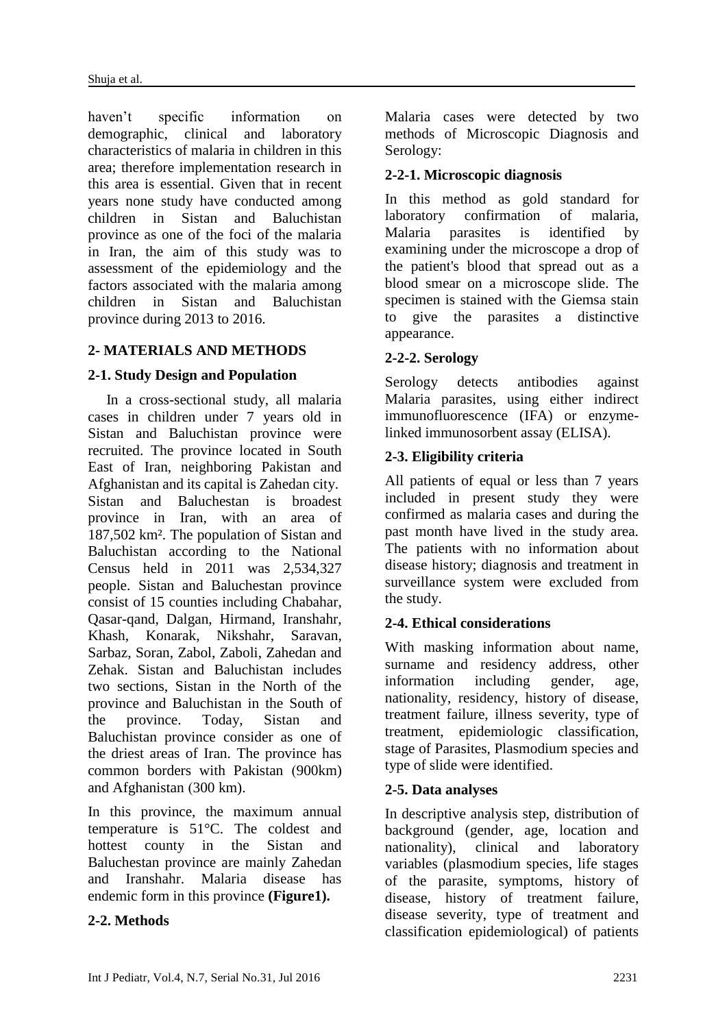haven't specific information on demographic, clinical and laboratory characteristics of malaria in children in this area; therefore implementation research in this area is essential. Given that in recent years none study have conducted among children in Sistan and Baluchistan province as one of the foci of the malaria in Iran, the aim of this study was to assessment of the epidemiology and the factors associated with the malaria among children in Sistan and Baluchistan province during 2013 to 2016.

# **2- MATERIALS AND METHODS**

# **2-1. Study Design and Population**

 In a cross-sectional study, all malaria cases in children under 7 years old in Sistan and Baluchistan province were recruited. The province located in South East of Iran, neighboring [Pakistan](https://en.wikipedia.org/wiki/Pakistan) and [Afghanistan](https://en.wikipedia.org/wiki/Afghanistan) and its capital is [Zahedan](https://en.wikipedia.org/wiki/Zahedan) city. Sistan and Baluchestan is broadest province in Iran, with an area of 187,502 km². The population of Sistan and Baluchistan according to the National Census held in 2011 was 2,534,327 people. Sistan and Baluchestan province consist of 15 counties including [Chabahar,](https://en.wikipedia.org/wiki/Chabahar_County) Qasar-qand, [Dalgan,](https://en.wikipedia.org/wiki/Dalgan_County) [Hirmand,](https://en.wikipedia.org/wiki/Hirmand_County) [Iranshahr,](https://en.wikipedia.org/wiki/Iranshahr_County) [Khash,](https://en.wikipedia.org/wiki/Khash_County) [Konarak,](https://en.wikipedia.org/wiki/Konarak_County) [Nikshahr,](https://en.wikipedia.org/wiki/Nikshahr_County) [Saravan,](https://en.wikipedia.org/wiki/Saravan_County) [Sarbaz,](https://en.wikipedia.org/wiki/Sarbaz_County) [Soran,](https://en.wikipedia.org/wiki/Sib_o_Soran_County) [Zabol,](https://en.wikipedia.org/wiki/Zabol_County) [Zaboli,](https://en.wikipedia.org/wiki/Mehrestan_County) [Zahedan](https://en.wikipedia.org/wiki/Zahedan_County) and [Zehak.](https://en.wikipedia.org/wiki/Zehak_County) Sistan and Baluchistan includes two sections, Sistan in the North of the province and Baluchistan in the South of the province. Today, Sistan and Baluchistan province consider as one of the driest areas of [Iran.](https://en.wikipedia.org/wiki/Iran) The province has common borders with Pakistan (900km) and Afghanistan  $(300 \text{ km})$ .

In this province, the maximum annual temperature is 51°C. The coldest and hottest county in the Sistan and Baluchestan province are mainly Zahedan and Iranshahr. Malaria disease has endemic form in this province **(Figure1).**

### **2-2. Methods**

Malaria cases were detected by two methods of Microscopic Diagnosis and Serology:

### **2-2-1. Microscopic diagnosis**

In this method as gold standard for laboratory confirmation of malaria, Malaria parasites is identified by examining under the microscope a drop of the patient's blood that spread out as a blood smear on a microscope slide. The specimen is stained with the Giemsa stain to give the parasites a distinctive appearance.

# **2-2-2. Serology**

Serology detects antibodies against Malaria parasites, using either indirect immunofluorescence (IFA) or enzymelinked immunosorbent assay (ELISA).

# **2-3. Eligibility criteria**

All patients of equal or less than 7 years included in present study they were confirmed as malaria cases and during the past month have lived in the study area. The patients with no information about disease history; diagnosis and treatment in surveillance system were excluded from the study.

### **2-4. Ethical considerations**

With masking information about name, surname and residency address, other information including gender, age, nationality, residency, history of disease, treatment failure, illness severity, type of treatment, epidemiologic classification, stage of Parasites, Plasmodium species and type of slide were identified.

### **2-5. Data analyses**

In descriptive analysis step, distribution of background (gender, age, location and nationality), clinical and laboratory variables (plasmodium species, life stages of the parasite, symptoms, history of disease, history of treatment failure, disease severity, type of treatment and classification epidemiological) of patients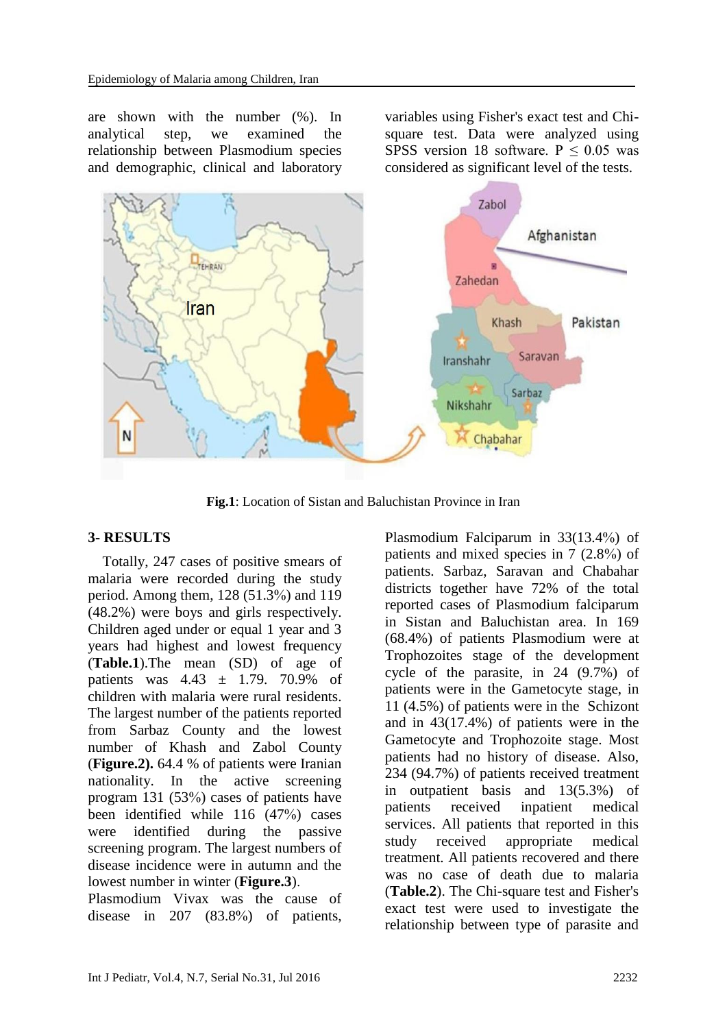are shown with the number (%). In analytical step, we examined the relationship between Plasmodium species and demographic, clinical and laboratory variables using Fisher's exact test and Chisquare test. Data were analyzed using SPSS version 18 software.  $P \le 0.05$  was considered as significant level of the tests.



**Fig.1**: Location of Sistan and Baluchistan Province in Iran

### **3- RESULTS**

 Totally, 247 cases of positive smears of malaria were recorded during the study period. Among them, 128 (51.3%) and 119 (48.2%) were boys and girls respectively. Children aged under or equal 1 year and 3 years had highest and lowest frequency (**Table.1**).The mean (SD) of age of patients was  $4.43 \pm 1.79$ . 70.9% of children with malaria were rural residents. The largest number of the patients reported from Sarbaz County and the lowest number of Khash and Zabol County (**Figure.2).** 64.4 % of patients were Iranian nationality. In the active screening program 131 (53%) cases of patients have been identified while 116 (47%) cases were identified during the passive screening program. The largest numbers of disease incidence were in autumn and the lowest number in winter (**Figure.3**).

Plasmodium Vivax was the cause of disease in 207 (83.8%) of patients, Plasmodium Falciparum in 33(13.4%) of patients and mixed species in 7 (2.8%) of patients. Sarbaz, Saravan and Chabahar districts together have 72% of the total reported cases of Plasmodium falciparum in Sistan and Baluchistan area. In 169 (68.4%) of patients Plasmodium were at Trophozoites stage of the development cycle of the parasite, in 24 (9.7%) of patients were in the Gametocyte stage, in 11 (4.5%) of patients were in the [Schizont](http://www.google.com/url?sa=t&rct=j&q=&esrc=s&source=web&cd=4&cad=rja&uact=8&ved=0ahUKEwjA4fnP-_XMAhWH2xoKHc3ZBDsQFgg3MAM&url=http%3A%2F%2Fwww.malaria.com%2Fquestions%2Fschizont&usg=AFQjCNH8nHWA2kwy4Abde-CwcNAy_JCHcw&sig2=9-E7z_-P2p6f8BqZhRQcIg&bvm=bv.122676328,d.d24) and in 43(17.4%) of patients were in the Gametocyte and Trophozoite stage. Most patients had no history of disease. Also, 234 (94.7%) of patients received treatment in outpatient basis and 13(5.3%) of patients received inpatient medical services. All patients that reported in this study received appropriate medical treatment. All patients recovered and there was no case of death due to malaria (**Table.2**). The Chi-square test and Fisher's exact test were used to investigate the relationship between type of parasite and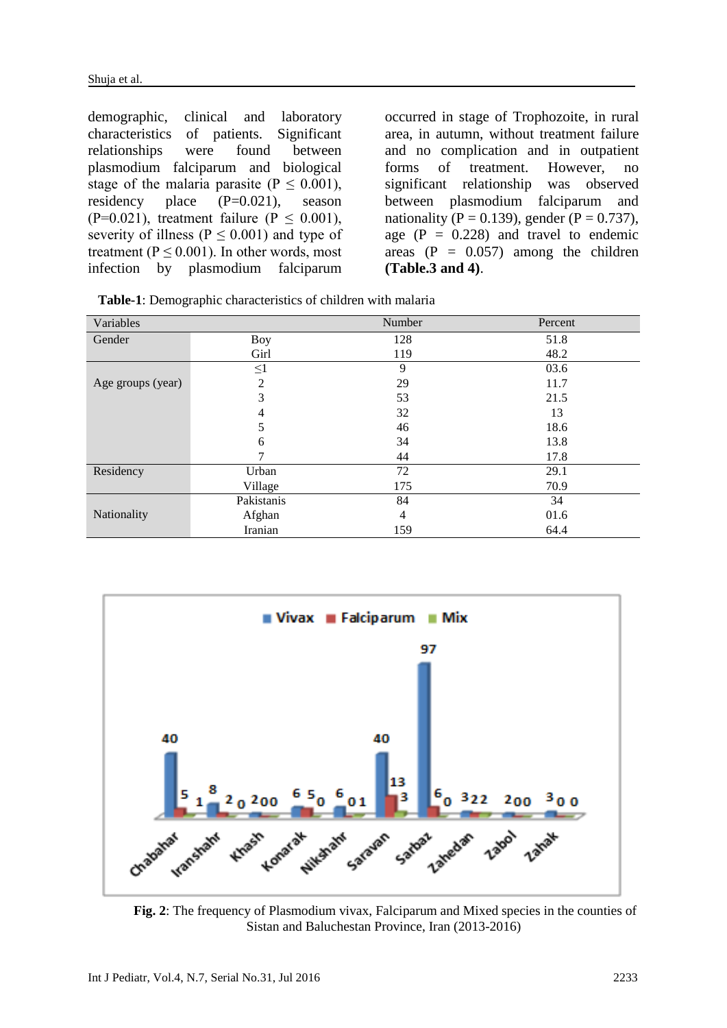demographic, clinical and laboratory characteristics of patients. Significant relationships were found between plasmodium falciparum and biological stage of the malaria parasite ( $P \le 0.001$ ), residency place (P=0.021), season (P=0.021), treatment failure (P  $\leq$  0.001), severity of illness ( $P \le 0.001$ ) and type of treatment ( $P \le 0.001$ ). In other words, most infection by plasmodium falciparum occurred in stage of Trophozoite, in rural area, in autumn, without treatment failure and no complication and in outpatient forms of treatment. However, no significant relationship was observed between plasmodium falciparum and nationality (P = 0.139), gender (P = 0.737), age  $(P = 0.228)$  and travel to endemic areas  $(P = 0.057)$  among the children **(Table.3 and 4)**.

| Variables         |            | Number         | Percent |
|-------------------|------------|----------------|---------|
| Gender            | Boy        | 128            | 51.8    |
|                   | Girl       | 119            | 48.2    |
|                   | $\leq1$    | 9              | 03.6    |
| Age groups (year) | 2          | 29             | 11.7    |
|                   | 3          | 53             | 21.5    |
|                   |            | 32             | 13      |
|                   | 5          | 46             | 18.6    |
|                   | 6          | 34             | 13.8    |
|                   |            | 44             | 17.8    |
| Residency         | Urban      | 72             | 29.1    |
|                   | Village    | 175            | 70.9    |
|                   | Pakistanis | 84             | 34      |
| Nationality       | Afghan     | $\overline{4}$ | 01.6    |
|                   | Iranian    | 159            | 64.4    |

**Table-1**: Demographic characteristics of children with malaria



**Fig. 2**: The frequency of Plasmodium vivax, Falciparum and Mixed species in the counties of Sistan and Baluchestan Province, Iran (2013-2016)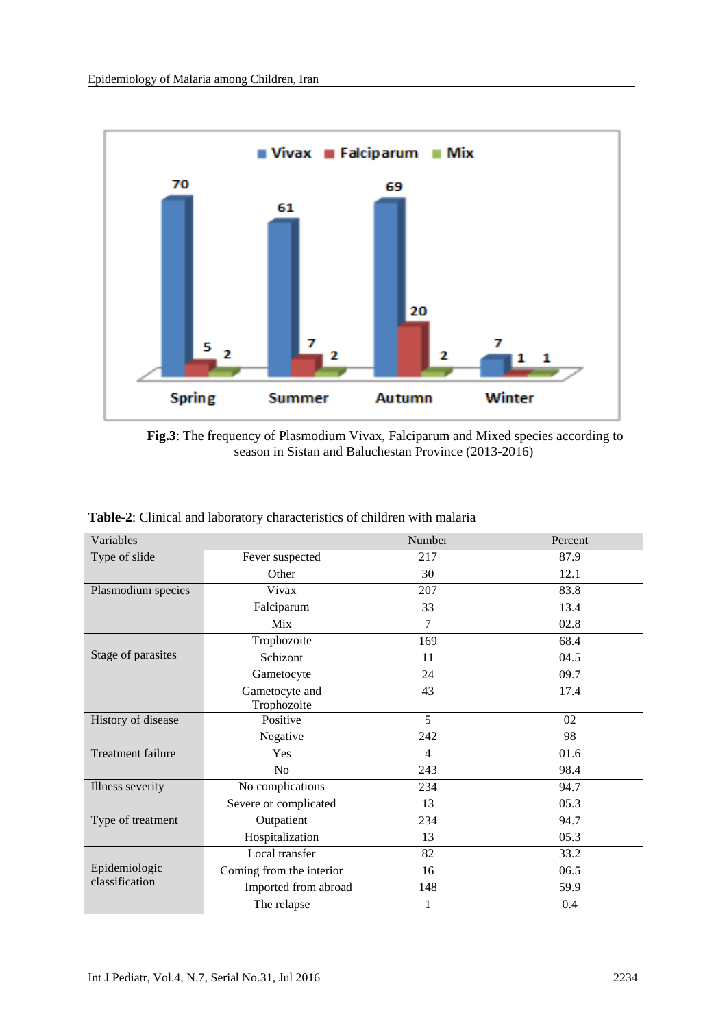

**Fig.3**: The frequency of Plasmodium Vivax, Falciparum and Mixed species according to season in Sistan and Baluchestan Province (2013-2016)

| Variables          |                          | Number         | Percent |
|--------------------|--------------------------|----------------|---------|
| Type of slide      | Fever suspected          | 217            | 87.9    |
|                    | Other                    | 30             | 12.1    |
| Plasmodium species | Vivax                    | 207            | 83.8    |
|                    | Falciparum               | 33             | 13.4    |
|                    | Mix                      | $\tau$         | 02.8    |
|                    | Trophozoite              | 169            | 68.4    |
| Stage of parasites | Schizont                 | 11             | 04.5    |
|                    | Gametocyte               | 24             | 09.7    |
|                    | Gametocyte and           | 43             | 17.4    |
|                    | Trophozoite              |                |         |
| History of disease | Positive                 | 5              | 02      |
|                    | Negative                 | 242            | 98      |
| Treatment failure  | Yes                      | $\overline{4}$ | 01.6    |
|                    | No                       | 243            | 98.4    |
| Illness severity   | No complications         | 234            | 94.7    |
|                    | Severe or complicated    | 13             | 05.3    |
| Type of treatment  | Outpatient               | 234            | 94.7    |
|                    | Hospitalization          | 13             | 05.3    |
|                    | Local transfer           | 82             | 33.2    |
| Epidemiologic      | Coming from the interior | 16             | 06.5    |
| classification     | Imported from abroad     | 148            | 59.9    |
|                    | The relapse              | 1              | 0.4     |

**Table-2**: Clinical and laboratory characteristics of children with malaria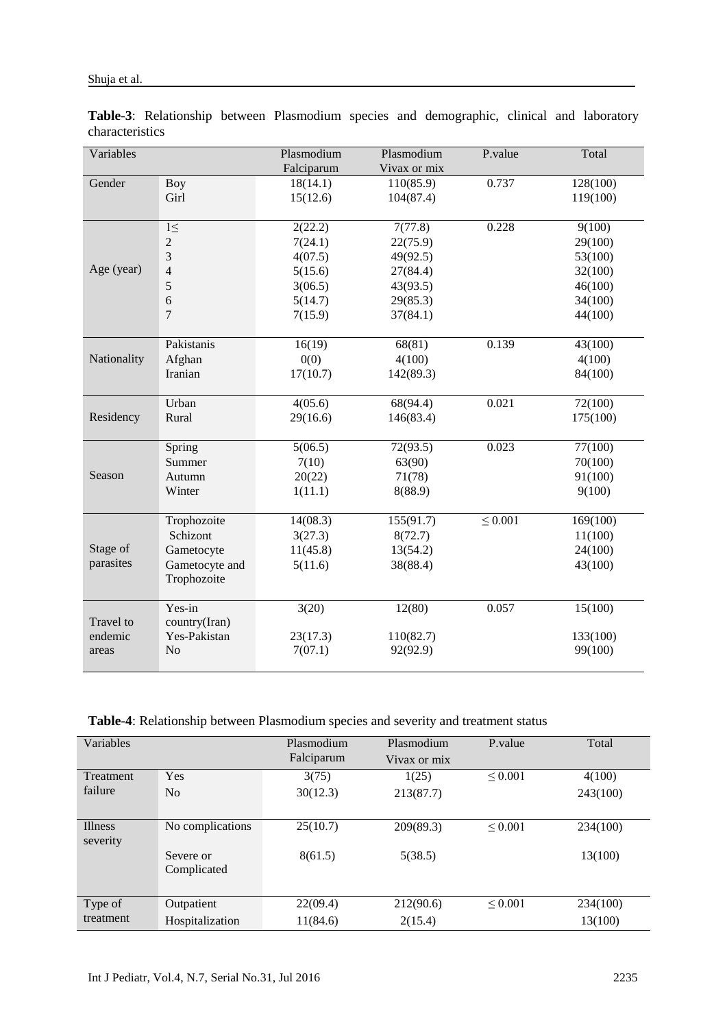| Variables   |                    | Plasmodium | Plasmodium   | P.value      | Total    |
|-------------|--------------------|------------|--------------|--------------|----------|
|             |                    | Falciparum | Vivax or mix |              |          |
| Gender      | <b>Boy</b>         | 18(14.1)   | 110(85.9)    | 0.737        | 128(100) |
|             | Girl               | 15(12.6)   | 104(87.4)    |              | 119(100) |
|             |                    |            |              |              |          |
|             | $\overline{1\leq}$ | 2(22.2)    | 7(77.8)      | 0.228        | 9(100)   |
|             | $\overline{c}$     | 7(24.1)    | 22(75.9)     |              | 29(100)  |
|             | 3                  | 4(07.5)    | 49(92.5)     |              | 53(100)  |
| Age (year)  | $\overline{4}$     | 5(15.6)    | 27(84.4)     |              | 32(100)  |
|             | 5                  | 3(06.5)    | 43(93.5)     |              | 46(100)  |
|             | 6                  | 5(14.7)    | 29(85.3)     |              | 34(100)  |
|             | $\tau$             | 7(15.9)    | 37(84.1)     |              | 44(100)  |
|             |                    |            |              |              |          |
|             | Pakistanis         | 16(19)     | 68(81)       | 0.139        | 43(100)  |
| Nationality | Afghan             | 0(0)       | 4(100)       |              | 4(100)   |
|             | Iranian            | 17(10.7)   | 142(89.3)    |              | 84(100)  |
|             |                    |            |              |              |          |
|             | Urban              | 4(05.6)    | 68(94.4)     | 0.021        | 72(100)  |
| Residency   | Rural              | 29(16.6)   | 146(83.4)    |              | 175(100) |
|             |                    |            |              |              |          |
|             | Spring             | 5(06.5)    | 72(93.5)     | 0.023        | 77(100)  |
|             | Summer             | 7(10)      | 63(90)       |              | 70(100)  |
| Season      | Autumn             | 20(22)     | 71(78)       |              | 91(100)  |
|             | Winter             | 1(11.1)    | 8(88.9)      |              | 9(100)   |
|             |                    |            |              |              |          |
|             | Trophozoite        | 14(08.3)   | 155(91.7)    | $\leq 0.001$ | 169(100) |
|             | Schizont           | 3(27.3)    | 8(72.7)      |              | 11(100)  |
| Stage of    | Gametocyte         | 11(45.8)   | 13(54.2)     |              | 24(100)  |
| parasites   | Gametocyte and     | 5(11.6)    | 38(88.4)     |              | 43(100)  |
|             | Trophozoite        |            |              |              |          |
|             | Yes-in             | 3(20)      | 12(80)       | 0.057        | 15(100)  |
| Travel to   | country(Iran)      |            |              |              |          |
| endemic     | Yes-Pakistan       | 23(17.3)   | 110(82.7)    |              | 133(100) |
| areas       | N <sub>o</sub>     | 7(07.1)    | 92(92.9)     |              | 99(100)  |
|             |                    |            |              |              |          |

**Table-3**: Relationship between Plasmodium species and demographic, clinical and laboratory characteristics

**Table-4**: Relationship between Plasmodium species and severity and treatment status

| Variables |                  | Plasmodium<br>Falciparum | Plasmodium<br>Vivax or mix | P.value      | Total    |
|-----------|------------------|--------------------------|----------------------------|--------------|----------|
| Treatment | Yes              | 3(75)                    | 1(25)                      | ${}_{0.001}$ | 4(100)   |
| failure   | N <sub>0</sub>   | 30(12.3)                 | 213(87.7)                  |              | 243(100) |
|           |                  |                          |                            |              |          |
| Illness   | No complications | 25(10.7)                 | 209(89.3)                  | ${}_{0.001}$ | 234(100) |
| severity  |                  |                          |                            |              |          |
|           | Severe or        | 8(61.5)                  | 5(38.5)                    |              | 13(100)  |
|           | Complicated      |                          |                            |              |          |
|           |                  |                          |                            |              |          |
| Type of   | Outpatient       | 22(09.4)                 | 212(90.6)                  | ${}_{0.001}$ | 234(100) |
| treatment | Hospitalization  | 11(84.6)                 | 2(15.4)                    |              | 13(100)  |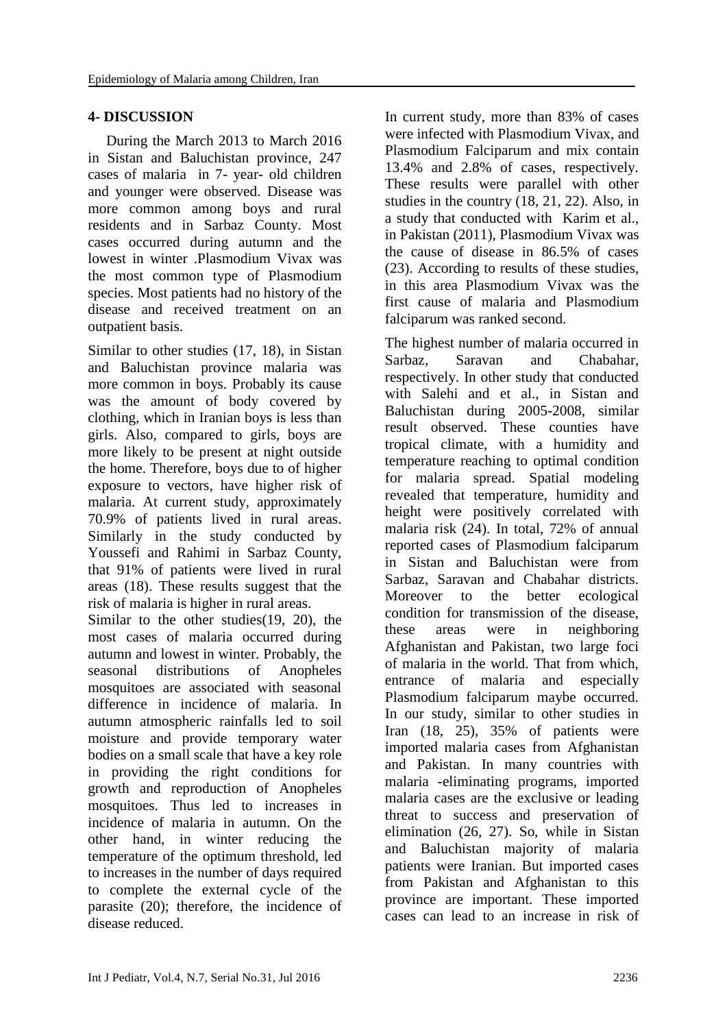#### **4- DISCUSSION**

 During the March 2013 to March 2016 in Sistan and Baluchistan province, 247 cases of malaria in 7- year- old children and younger were observed. Disease was more common among boys and rural residents and in Sarbaz County. Most cases occurred during autumn and the lowest in winter .Plasmodium Vivax was the most common type of Plasmodium species. Most patients had no history of the disease and received treatment on an outpatient basis.

Similar to other studies [\(17,](#page-9-9) [18\)](#page-9-10), in Sistan and Baluchistan province malaria was more common in boys. Probably its cause was the amount of body covered by clothing, which in Iranian boys is less than girls. Also, compared to girls, boys are more likely to be present at night outside the home. Therefore, boys due to of higher exposure to vectors, have higher risk of malaria. At current study, approximately 70.9% of patients lived in rural areas. Similarly in the study conducted by Youssefi and Rahimi in Sarbaz County, that 91% of patients were lived in rural areas [\(18\)](#page-9-10). These results suggest that the risk of malaria is higher in rural areas.

Similar to the other studies[\(19,](#page-9-11) [20\)](#page-9-12), the most cases of malaria occurred during autumn and lowest in winter. Probably, the seasonal distributions of Anopheles mosquitoes are associated with seasonal difference in incidence of malaria. In autumn atmospheric rainfalls led to soil moisture and provide temporary water bodies on a small scale that have a key role in providing the right conditions for growth and reproduction of Anopheles mosquitoes. Thus led to increases in incidence of malaria in autumn. On the other hand, in winter reducing the temperature of the optimum threshold, led to increases in the number of days required to complete the external cycle of the parasite [\(20\)](#page-9-12); therefore, the incidence of disease reduced.

In current study, more than 83% of cases were infected with Plasmodium Vivax, and Plasmodium Falciparum and mix contain 13.4% and 2.8% of cases, respectively. These results were parallel with other studies in the country [\(18,](#page-9-10) [21,](#page-9-13) [22\)](#page-9-14). Also, in a study that conducted with [Karim](http://www.ncbi.nlm.nih.gov/pubmed/?term=Karim%20AM%5Bauth%5D) et al., in Pakistan (2011), Plasmodium Vivax was the cause of disease in 86.5% of cases [\(23\)](#page-9-15). According to results of these studies, in this area Plasmodium Vivax was the first cause of malaria and Plasmodium falciparum was ranked second.

The highest number of malaria occurred in Sarbaz, Saravan and Chabahar, respectively. In other study that conducted with Salehi and et al., in Sistan and Baluchistan during 2005-2008, similar result observed. These counties have tropical climate, with a humidity and temperature reaching to optimal condition for malaria spread. Spatial modeling revealed that temperature, humidity and height were positively correlated with malaria risk [\(24\)](#page-9-16). In total, 72% of annual reported cases of Plasmodium falciparum in Sistan and Baluchistan were from Sarbaz, Saravan and Chabahar districts. Moreover to the better ecological condition for transmission of the disease, these areas were in neighboring Afghanistan and Pakistan, two large foci of malaria in the world. That from which, entrance of malaria and especially Plasmodium falciparum maybe occurred. In our study, similar to other studies in Iran [\(18,](#page-9-10) [25\)](#page-9-17), 35% of patients were imported malaria cases from Afghanistan and Pakistan. In many countries with malaria -eliminating programs, imported malaria cases are the exclusive or leading threat to success and preservation of elimination [\(26,](#page-9-18) [27\)](#page-10-0). So, while in Sistan and Baluchistan majority of malaria patients were Iranian. But imported cases from Pakistan and Afghanistan to this province are important. These imported cases can lead to an increase in risk of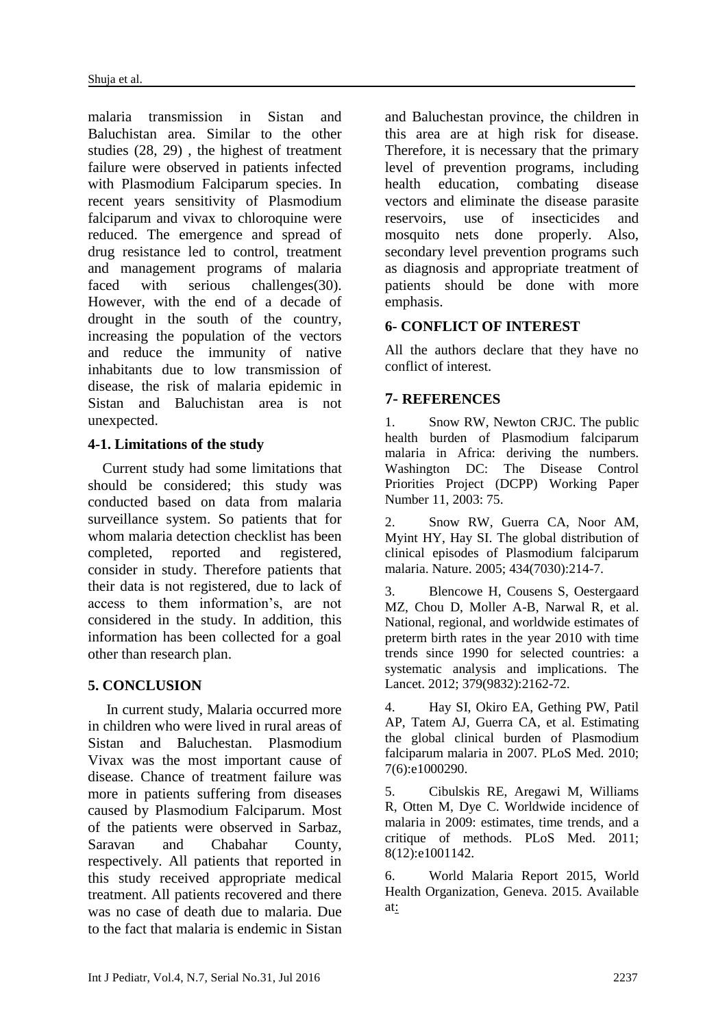malaria transmission in Sistan and Baluchistan area. Similar to the other studies [\(28,](#page-10-1) [29\)](#page-10-2) , the highest of treatment failure were observed in patients infected with Plasmodium Falciparum species. In recent years sensitivity of Plasmodium falciparum and vivax to chloroquine were reduced. The emergence and spread of drug resistance led to control, treatment and management programs of malaria faced with serious challenges[\(30\)](#page-10-3). However, with the end of a decade of drought in the south of the country, increasing the population of the vectors and reduce the immunity of native inhabitants due to low transmission of disease, the risk of malaria epidemic in Sistan and Baluchistan area is not unexpected.

# **4-1. Limitations of the study**

 Current study had some limitations that should be considered; this study was conducted based on data from malaria surveillance system. So patients that for whom malaria detection checklist has been completed, reported and registered, consider in study. Therefore patients that their data is not registered, due to lack of access to them information's, are not considered in the study. In addition, this information has been collected for a goal other than research plan.

# **5. CONCLUSION**

 In current study, Malaria occurred more in children who were lived in rural areas of Sistan and Baluchestan. Plasmodium Vivax was the most important cause of disease. Chance of treatment failure was more in patients suffering from diseases caused by Plasmodium Falciparum. Most of the patients were observed in Sarbaz, Saravan and Chabahar County, respectively. All patients that reported in this study received appropriate medical treatment. All patients recovered and there was no case of death due to malaria. Due to the fact that malaria is endemic in Sistan and Baluchestan province, the children in this area are at high risk for disease. Therefore, it is necessary that the primary level of prevention programs, including health education, combating disease vectors and eliminate the disease parasite reservoirs, use of insecticides and mosquito nets done properly. Also, secondary level prevention programs such as diagnosis and appropriate treatment of patients should be done with more emphasis.

# **6- CONFLICT OF INTEREST**

All the authors declare that they have no conflict of interest.

# **7- REFERENCES**

<span id="page-8-0"></span>1. Snow RW, Newton CRJC. The public health burden of Plasmodium falciparum malaria in Africa: deriving the numbers. Washington DC: The Disease Control Priorities Project (DCPP) Working Paper Number 11, 2003: 75.

<span id="page-8-1"></span>2. Snow RW, Guerra CA, Noor AM, Myint HY, Hay SI. The global distribution of clinical episodes of Plasmodium falciparum malaria. Nature. 2005; 434(7030):214-7.

<span id="page-8-2"></span>3. Blencowe H, Cousens S, Oestergaard MZ, Chou D, Moller A-B, Narwal R, et al. National, regional, and worldwide estimates of preterm birth rates in the year 2010 with time trends since 1990 for selected countries: a systematic analysis and implications. The Lancet. 2012; 379(9832):2162-72.

<span id="page-8-3"></span>4. Hay SI, Okiro EA, Gething PW, Patil AP, Tatem AJ, Guerra CA, et al. Estimating the global clinical burden of Plasmodium falciparum malaria in 2007. PLoS Med. 2010; 7(6):e1000290.

<span id="page-8-4"></span>5. Cibulskis RE, Aregawi M, Williams R, Otten M, Dye C. Worldwide incidence of malaria in 2009: estimates, time trends, and a critique of methods. PLoS Med. 2011; 8(12):e1001142.

<span id="page-8-5"></span>6. World Malaria Report 2015, World Health Organization, Geneva. 2015. Available at: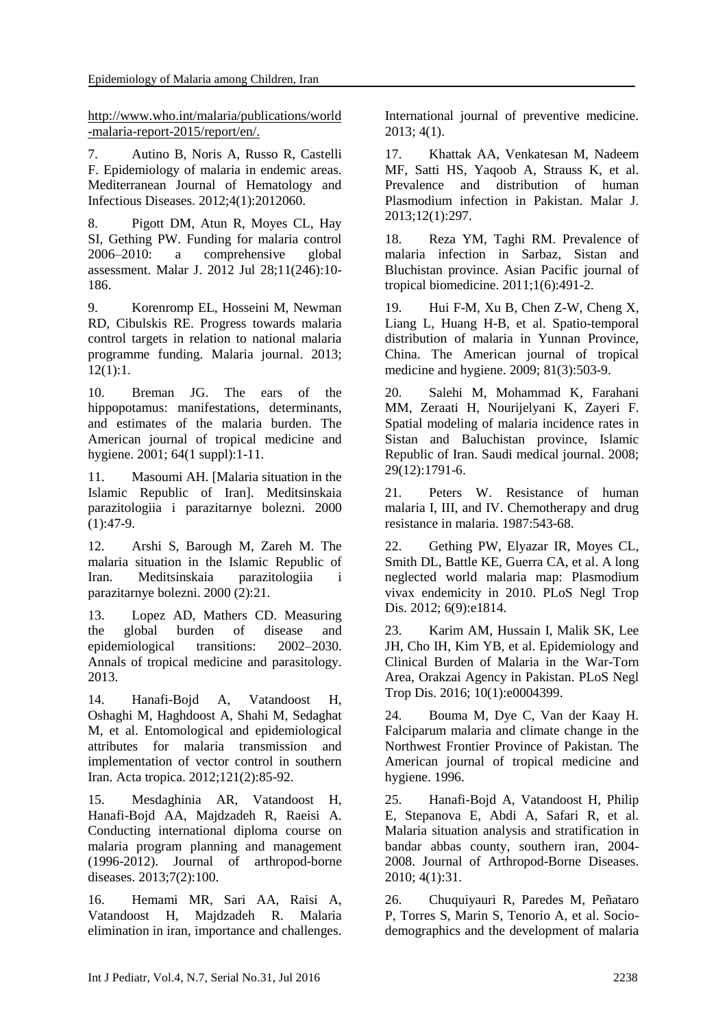http://www.who.int/malaria/publications/world -malaria-report-2015/report/en/.

<span id="page-9-0"></span>7. Autino B, Noris A, Russo R, Castelli F. Epidemiology of malaria in endemic areas. Mediterranean Journal of Hematology and Infectious Diseases. 2012;4(1):2012060.

<span id="page-9-1"></span>8. Pigott DM, Atun R, Moyes CL, Hay SI, Gething PW. Funding for malaria control 2006–2010: a comprehensive global assessment. Malar J. 2012 Jul 28;11(246):10- 186.

<span id="page-9-2"></span>9. Korenromp EL, Hosseini M, Newman RD, Cibulskis RE. Progress towards malaria control targets in relation to national malaria programme funding. Malaria journal. 2013; 12(1):1.

<span id="page-9-3"></span>10. Breman JG. The ears of the hippopotamus: manifestations, determinants, and estimates of the malaria burden. The American journal of tropical medicine and hygiene. 2001; 64(1 suppl):1-11.

<span id="page-9-4"></span>11. Masoumi AH. [Malaria situation in the Islamic Republic of Iran]. Meditsinskaia parazitologiia i parazitarnye bolezni. 2000  $(1):47-9.$ 

12. Arshi S, Barough M, Zareh M. The malaria situation in the Islamic Republic of Iran. Meditsinskaia parazitologiia i parazitarnye bolezni. 2000 (2):21.

<span id="page-9-5"></span>13. Lopez AD, Mathers CD. Measuring the global burden of disease and epidemiological transitions: 2002–2030. Annals of tropical medicine and parasitology. 2013.

<span id="page-9-6"></span>14. Hanafi-Bojd A, Vatandoost H, Oshaghi M, Haghdoost A, Shahi M, Sedaghat M, et al. Entomological and epidemiological attributes for malaria transmission and implementation of vector control in southern Iran. Acta tropica. 2012;121(2):85-92.

<span id="page-9-7"></span>15. Mesdaghinia AR, Vatandoost H, Hanafi-Bojd AA, Majdzadeh R, Raeisi A. Conducting international diploma course on malaria program planning and management (1996-2012). Journal of arthropod-borne diseases. 2013;7(2):100.

<span id="page-9-8"></span>16. Hemami MR, Sari AA, Raisi A, Vatandoost H, Majdzadeh R. Malaria elimination in iran, importance and challenges. International journal of preventive medicine. 2013; 4(1).

<span id="page-9-9"></span>17. Khattak AA, Venkatesan M, Nadeem MF, Satti HS, Yaqoob A, Strauss K, et al. Prevalence and distribution of human Plasmodium infection in Pakistan. Malar J. 2013;12(1):297.

<span id="page-9-10"></span>18. Reza YM, Taghi RM. Prevalence of malaria infection in Sarbaz, Sistan and Bluchistan province. Asian Pacific journal of tropical biomedicine. 2011;1(6):491-2.

<span id="page-9-11"></span>19. Hui F-M, Xu B, Chen Z-W, Cheng X, Liang L, Huang H-B, et al. Spatio-temporal distribution of malaria in Yunnan Province, China. The American journal of tropical medicine and hygiene. 2009; 81(3):503-9.

<span id="page-9-12"></span>20. Salehi M, Mohammad K, Farahani MM, Zeraati H, Nourijelyani K, Zayeri F. Spatial modeling of malaria incidence rates in Sistan and Baluchistan province, Islamic Republic of Iran. Saudi medical journal. 2008; 29(12):1791-6.

<span id="page-9-13"></span>21. Peters W. Resistance of human malaria I, III, and IV. Chemotherapy and drug resistance in malaria. 1987:543-68.

<span id="page-9-14"></span>22. Gething PW, Elyazar IR, Moyes CL, Smith DL, Battle KE, Guerra CA, et al. A long neglected world malaria map: Plasmodium vivax endemicity in 2010. PLoS Negl Trop Dis. 2012; 6(9):e1814.

<span id="page-9-15"></span>23. Karim AM, Hussain I, Malik SK, Lee JH, Cho IH, Kim YB, et al. Epidemiology and Clinical Burden of Malaria in the War-Torn Area, Orakzai Agency in Pakistan. PLoS Negl Trop Dis. 2016; 10(1):e0004399.

<span id="page-9-16"></span>24. Bouma M, Dye C, Van der Kaay H. Falciparum malaria and climate change in the Northwest Frontier Province of Pakistan. The American journal of tropical medicine and hygiene. 1996.

<span id="page-9-17"></span>25. Hanafi-Bojd A, Vatandoost H, Philip E, Stepanova E, Abdi A, Safari R, et al. Malaria situation analysis and stratification in bandar abbas county, southern iran, 2004- 2008. Journal of Arthropod-Borne Diseases. 2010; 4(1):31.

<span id="page-9-18"></span>26. Chuquiyauri R, Paredes M, Peñataro P, Torres S, Marin S, Tenorio A, et al. Sociodemographics and the development of malaria